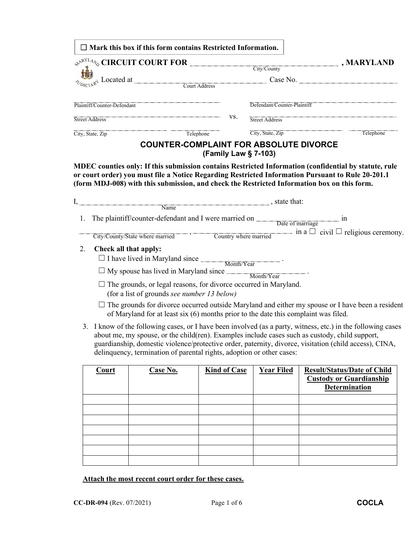|                                                                                                                                                                               | $\Box$ Mark this box if this form contains Restricted Information.                                                                                                                                                                                                                                                            |     |                               |           |
|-------------------------------------------------------------------------------------------------------------------------------------------------------------------------------|-------------------------------------------------------------------------------------------------------------------------------------------------------------------------------------------------------------------------------------------------------------------------------------------------------------------------------|-----|-------------------------------|-----------|
| $\leftrightarrow^{\mathbb{R}^{NLL}_{4}/\mathbb{Z}}$ CIRCUIT COURT FOR City/County<br>$\mathbb{R}^4$ Located at $\overline{\mathbb{C}^4}$ Located at $\overline{\mathbb{C}^4}$ |                                                                                                                                                                                                                                                                                                                               |     | $\Box$ , MARYLAND<br>Case No. |           |
|                                                                                                                                                                               | Plaintiff/Counter-Defendant                                                                                                                                                                                                                                                                                                   |     | Defendant/Counter-Plaintiff   |           |
|                                                                                                                                                                               | <b>Street Address</b>                                                                                                                                                                                                                                                                                                         | VS. | Street Address                |           |
|                                                                                                                                                                               | Telephone<br>City, State, Zip                                                                                                                                                                                                                                                                                                 |     | City, State, Zip              | Telephone |
|                                                                                                                                                                               | <b>COUNTER-COMPLAINT FOR ABSOLUTE DIVORCE</b>                                                                                                                                                                                                                                                                                 |     | (Family Law § 7-103)          |           |
|                                                                                                                                                                               | MDEC counties only: If this submission contains Restricted Information (confidential by statute, rule<br>or court order) you must file a Notice Regarding Restricted Information Pursuant to Rule 20-201.1<br>(form MDJ-008) with this submission, and check the Restricted Information box on this form.<br>$I,$ state that: |     |                               |           |
|                                                                                                                                                                               |                                                                                                                                                                                                                                                                                                                               |     |                               |           |
| 1.                                                                                                                                                                            | The plaintiff/counter-defendant and I were married on Date of marriage in<br>City/County/State where married $\overline{\phantom{a}}$ , $\overline{\phantom{a}}$ Country where married $\overline{\phantom{a}}$ in a $\overline{\phantom{a}}$ civil $\Box$ religious ceremony.                                                |     |                               |           |
|                                                                                                                                                                               |                                                                                                                                                                                                                                                                                                                               |     |                               |           |

| <b>Court</b> | Case No. | <b>Kind of Case</b> | <b>Year Filed</b> | <b>Result/Status/Date of Child</b><br><b>Custody or Guardianship</b><br><b>Determination</b> |
|--------------|----------|---------------------|-------------------|----------------------------------------------------------------------------------------------|
|              |          |                     |                   |                                                                                              |
|              |          |                     |                   |                                                                                              |
|              |          |                     |                   |                                                                                              |
|              |          |                     |                   |                                                                                              |
|              |          |                     |                   |                                                                                              |
|              |          |                     |                   |                                                                                              |
|              |          |                     |                   |                                                                                              |

**Attach the most recent court order for these cases.**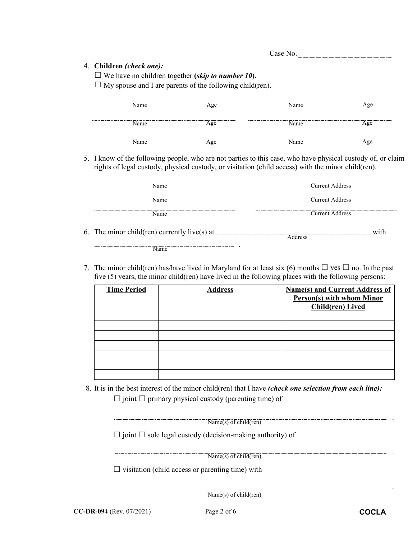## 4. **Children** *(check one):*

☐ We have no children together **(***skip to number 10***)**.

 $\Box$  My spouse and I are parents of the following child(ren).

| Name | Age    | --------<br>Name | Age |
|------|--------|------------------|-----|
| Name | Aoe    | Name             | Age |
| Name | <br>١œ | Name             | Age |

5. I know of the following people, who are not parties to this case, who have physical custody of, or claim rights of legal custody, physical custody, or visitation (child access) with the minor child(ren).

| Name                                         | <b>Current Address</b> |      |
|----------------------------------------------|------------------------|------|
| Name                                         | <b>Current Address</b> |      |
| Name                                         | <b>Current Address</b> |      |
| 6. The minor child(ren) currently live(s) at | <b>Address</b>         | with |
| $N_{\rm max}$                                |                        |      |

Name

7. The minor child(ren) has/have lived in Maryland for at least six (6) months  $\Box$  yes  $\Box$  no. In the past five (5) years, the minor child(ren) have lived in the following places with the following persons:

| <b>Time Period</b> | <b>Address</b> | <b>Name(s) and Current Address of</b><br><b>Person(s) with whom Minor</b><br>Child(ren) Lived |
|--------------------|----------------|-----------------------------------------------------------------------------------------------|
|                    |                |                                                                                               |
|                    |                |                                                                                               |
|                    |                |                                                                                               |
|                    |                |                                                                                               |
|                    |                |                                                                                               |
|                    |                |                                                                                               |
|                    |                |                                                                                               |

8. It is in the best interest of the minor child(ren) that I have *(check one selection from each line):*  $\Box$  joint  $\Box$  primary physical custody (parenting time) of

| Name $(s)$ of child $(ren)$ |  |
|-----------------------------|--|

☐ joint ☐ sole legal custody (decision-making authority) of

Name(s) of child(ren)

 $\Box$  visitation (child access or parenting time) with

 $\overline{\text{Name}(s) \text{ of child}(ren)}$ 

.

.

.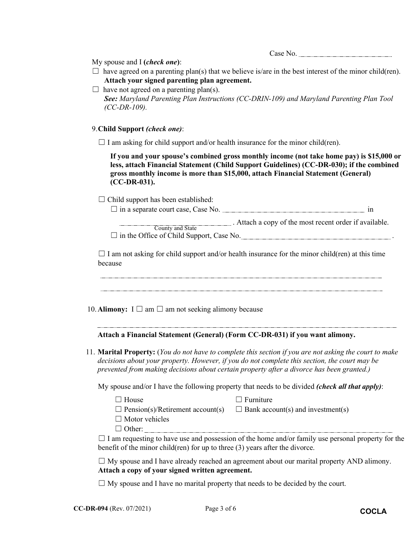Case No.

My spouse and I **(***check one***)**:

- $\Box$  have agreed on a parenting plan(s) that we believe is/are in the best interest of the minor child(ren). **Attach your signed parenting plan agreement.**
- $\Box$  have not agreed on a parenting plan(s). *See: Maryland Parenting Plan Instructions (CC-DRIN-109) and Maryland Parenting Plan Tool (CC-DR-109).*

9. **Child Support** *(check one)*:

 $\Box$  I am asking for child support and/or health insurance for the minor child(ren).

**If you and your spouse's combined gross monthly income (not take home pay) is \$15,000 or less, attach Financial Statement (Child Support Guidelines) (CC-DR-030); if the combined gross monthly income is more than \$15,000, attach Financial Statement (General) (CC-DR-031).**

 $\Box$  Child support has been established:

 $\Box$  in a separate court case, Case No.  $\Box$  in  $\Box$ 

**EXECUTE:** Attach a copy of the most recent order if available. County and State

□ in the Office of Child Support, Case No.

 $\Box$  I am not asking for child support and/or health insurance for the minor child(ren) at this time because

10. **Alimony:**  $I \square$  am  $\square$  am not seeking alimony because

**Attach a Financial Statement (General) (Form CC-DR-031) if you want alimony.** 

11. **Marital Property:** (*You do not have to complete this section if you are not asking the court to make decisions about your property. However, if you do not complete this section, the court may be prevented from making decisions about certain property after a divorce has been granted.)*

My spouse and/or I have the following property that needs to be divided *(check all that apply)*:

- ☐ House ☐ Furniture  $\Box$  Pension(s)/Retirement account(s)  $\Box$  Bank account(s) and investment(s)
- $\Box$  Motor vehicles
- ☐ Other:

 $\Box$  I am requesting to have use and possession of the home and/or family use personal property for the benefit of the minor child(ren) for up to three (3) years after the divorce.

 $\Box$  My spouse and I have already reached an agreement about our marital property AND alimony. **Attach a copy of your signed written agreement.**

 $\Box$  My spouse and I have no marital property that needs to be decided by the court.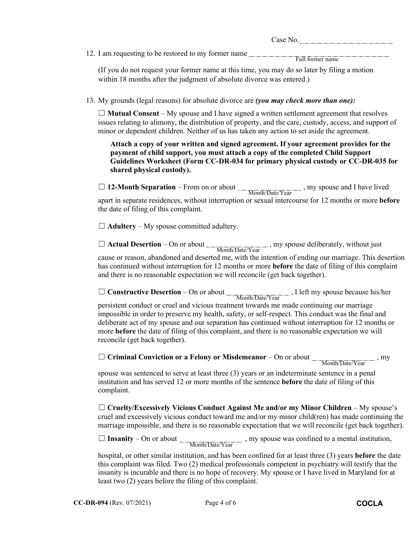| C<br>- |  |
|--------|--|
|--------|--|

12. I am requesting to be restored to my former name

Full former name

(If you do not request your former name at this time, you may do so later by filing a motion within 18 months after the judgment of absolute divorce was entered.)

13. My grounds (legal reasons) for absolute divorce are *(you may check more than one):*

☐ **Mutual Consent** – My spouse and I have signed a written settlement agreement that resolves issues relating to alimony, the distribution of property, and the care, custody, access, and support of minor or dependent children. Neither of us has taken any action to set aside the agreement.

**Attach a copy of your written and signed agreement. If your agreement provides for the payment of child support, you must attach a copy of the completed Child Support Guidelines Worksheet (Form CC-DR-034 for primary physical custody or CC-DR-035 for shared physical custody).**

□ 12-Month Separation – From on or about <sub>,</sub> my spouse and I have lived apart in separate residences, without interruption or sexual intercourse for 12 months or more **before** the date of filing of this complaint. Month/Date/Year

 $\Box$  **Adultery** – My spouse committed adultery.

 $\Box$  **Actual Desertion** – On or about  $\Box$ , my spouse deliberately, without just cause or reason, abandoned and deserted me, with the intention of ending our marriage. This desertion has continued without interruption for 12 months or more **before** the date of filing of this complaint and there is no reasonable expectation we will reconcile (get back together). Month/Date/Year

□ **Constructive Desertion** – On or about Month/Date/Year, J left my spouse because his/her

persistent conduct or cruel and vicious treatment towards me made continuing our marriage impossible in order to preserve my health, safety, or self-respect. This conduct was the final and deliberate act of my spouse and our separation has continued without interruption for 12 months or more **before** the date of filing of this complaint, and there is no reasonable expectation we will reconcile (get back together).

□ **Criminal Conviction or a Felony or Misdemeanor** – On or about \_\_\_\_\_\_\_\_\_\_\_\_\_\_\_\_\_\_\_\_, my Month/Date/Year

spouse was sentenced to serve at least three (3) years or an indeterminate sentence in a penal institution and has served 12 or more months of the sentence **before** the date of filing of this complaint.

☐ **Cruelty/Excessively Vicious Conduct Against Me and/or my Minor Children** – My spouse's cruel and excessively vicious conduct toward me and/or my minor child(ren) has made continuing the marriage impossible, and there is no reasonable expectation that we will reconcile (get back together).

 $\Box$  **Insanity** – On or about  $\frac{Month/Date/Year}{Month/Date/Year}$ , my spouse was confined to a mental institution,

hospital, or other similar institution, and has been confined for at least three (3) years **before** the date this complaint was filed. Two (2) medical professionals competent in psychiatry will testify that the insanity is incurable and there is no hope of recovery. My spouse or I have lived in Maryland for at least two (2) years before the filing of this complaint.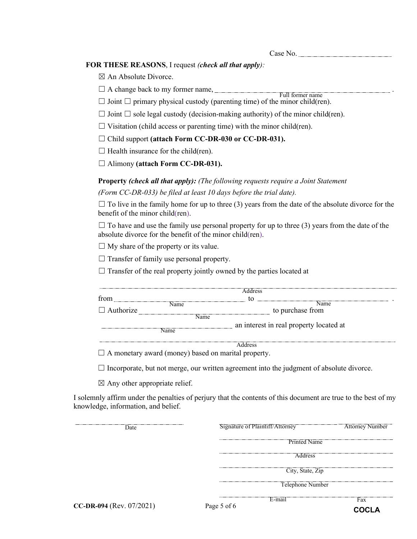Case No.

## **FOR THESE REASONS**, I request *(check all that apply):*

 $\boxtimes$  An Absolute Divorce.

 $\Box$  A change back to my former name,  $\Box$ Full former name

 $\Box$  Joint  $\Box$  primary physical custody (parenting time) of the minor child(ren).

- $\Box$  Joint  $\Box$  sole legal custody (decision-making authority) of the minor child(ren).
- $\Box$  Visitation (child access or parenting time) with the minor child(ren).
- ☐ Child support **(attach Form CC-DR-030 or CC-DR-031).**
- $\Box$  Health insurance for the child(ren).
- ☐ Alimony **(attach Form CC-DR-031).**

**Property** *(check all that apply): (The following requests require a Joint Statement (Form CC-DR-033) be filed at least 10 days before the trial date).*

 $\Box$  To live in the family home for up to three (3) years from the date of the absolute divorce for the benefit of the minor child(ren).

 $\Box$  To have and use the family use personal property for up to three (3) years from the date of the absolute divorce for the benefit of the minor child(ren).

 $\Box$  My share of the property or its value.

 $\Box$  Transfer of family use personal property.

 $\Box$  Transfer of the real property jointly owned by the parties located at

|                  |                                                            | Address                                 |  |
|------------------|------------------------------------------------------------|-----------------------------------------|--|
| from             |                                                            | tο                                      |  |
|                  | Name                                                       | <b>Name</b>                             |  |
| $\Box$ Authorize |                                                            | to purchase from                        |  |
|                  | <b>Name</b>                                                |                                         |  |
|                  |                                                            | an interest in real property located at |  |
|                  | Name                                                       |                                         |  |
|                  |                                                            | <b>Address</b>                          |  |
|                  | $\Box$ A monetary award (money) based on marital property. |                                         |  |

 $\Box$  Incorporate, but not merge, our written agreement into the judgment of absolute divorce.

 $\boxtimes$  Any other appropriate relief.

I solemnly affirm under the penalties of perjury that the contents of this document are true to the best of my knowledge, information, and belief.

**CC-DR-094** (Rev. 07/2021) Page 5 of 6 Signature of Plaintiff/Attorney Printed Name Fax Telephone Number Date Address Attorney Number E-mail City, State, Zip **COCLA**